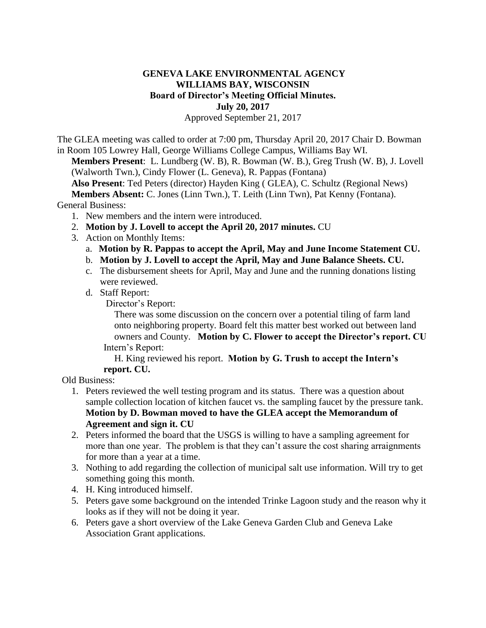## **GENEVA LAKE ENVIRONMENTAL AGENCY WILLIAMS BAY, WISCONSIN Board of Director's Meeting Official Minutes. July 20, 2017**

Approved September 21, 2017

The GLEA meeting was called to order at 7:00 pm, Thursday April 20, 2017 Chair D. Bowman in Room 105 Lowrey Hall, George Williams College Campus, Williams Bay WI.

**Members Present**: L. Lundberg (W. B), R. Bowman (W. B.), Greg Trush (W. B), J. Lovell (Walworth Twn.), Cindy Flower (L. Geneva), R. Pappas (Fontana)

 **Also Present**: Ted Peters (director) Hayden King ( GLEA), C. Schultz (Regional News) **Members Absent:** C. Jones (Linn Twn.), T. Leith (Linn Twn), Pat Kenny (Fontana). General Business:

- 1. New members and the intern were introduced.
- 2. **Motion by J. Lovell to accept the April 20, 2017 minutes.** CU
- 3. Action on Monthly Items:
	- a. **Motion by R. Pappas to accept the April, May and June Income Statement CU.**
	- b. **Motion by J. Lovell to accept the April, May and June Balance Sheets. CU.**
	- c. The disbursement sheets for April, May and June and the running donations listing were reviewed.
	- d. Staff Report:

Director's Report:

There was some discussion on the concern over a potential tiling of farm land onto neighboring property. Board felt this matter best worked out between land owners and County. **Motion by C. Flower to accept the Director's report. CU**  Intern's Report:

H. King reviewed his report. **Motion by G. Trush to accept the Intern's report. CU.**

Old Business:

- 1. Peters reviewed the well testing program and its status. There was a question about sample collection location of kitchen faucet vs. the sampling faucet by the pressure tank. **Motion by D. Bowman moved to have the GLEA accept the Memorandum of Agreement and sign it. CU**
- 2. Peters informed the board that the USGS is willing to have a sampling agreement for more than one year. The problem is that they can't assure the cost sharing arraignments for more than a year at a time.
- 3. Nothing to add regarding the collection of municipal salt use information. Will try to get something going this month.
- 4. H. King introduced himself.
- 5. Peters gave some background on the intended Trinke Lagoon study and the reason why it looks as if they will not be doing it year.
- 6. Peters gave a short overview of the Lake Geneva Garden Club and Geneva Lake Association Grant applications.